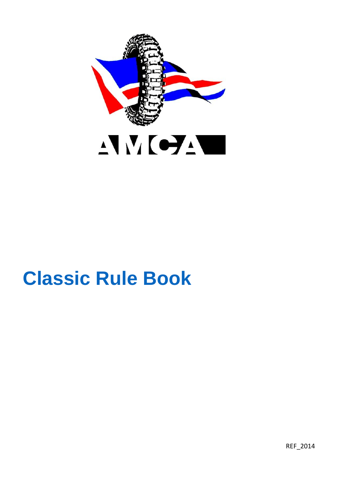

# **Classic Rule Book**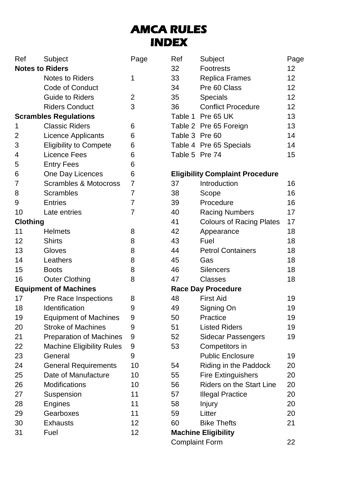# **AMCA RULES INDEX**

| Ref                    | Subject                        | Page |
|------------------------|--------------------------------|------|
| <b>Notes to Riders</b> |                                |      |
|                        | <b>Notes to Riders</b>         | 1    |
|                        | Code of Conduct                |      |
|                        | Guide to Riders                | 2    |
|                        | <b>Riders Conduct</b>          | 3    |
|                        | <b>Scrambles Regulations</b>   |      |
| 1                      | <b>Classic Riders</b>          | 6    |
| $\overline{2}$         | Licence Applicants             | 6    |
| 3                      | <b>Eligibility to Compete</b>  | 6    |
| 4                      | Licence Fees                   | 6    |
| 5                      | <b>Entry Fees</b>              | 6    |
| 6                      | One Day Licences               | 6    |
| 7                      | Scrambles & Motocross          | 7    |
| 8                      | Scrambles                      | 7    |
| 9                      | Entries                        | 7    |
| 10                     | Late entries                   | 7    |
| Clothing               |                                |      |
| 11                     | Helmets                        | 8    |
| 12                     | Shirts                         | 8    |
| 13                     | Gloves                         | 8    |
| 14                     | Leathers                       | 8    |
| 15                     | <b>Boots</b>                   | 8    |
| 16                     | <b>Outer Clothing</b>          | 8    |
|                        | <b>Equipment of Machines</b>   |      |
| 17                     | Pre Race Inspections           | 8    |
| 18                     | Identification                 | 9    |
| 19                     | <b>Equipment of Machines</b>   | 9    |
| 20                     | <b>Stroke of Machines</b>      | 9    |
| 21                     | <b>Preparation of Machines</b> | 9    |
| 22                     | Machine Eligibility Rules      | 9    |
| 23                     | General                        | 9    |
| 24                     | <b>General Requirements</b>    | 10   |
| 25                     | Date of Manufacture            | 10   |
| 26                     | Modifications                  | 10   |
| 27                     | Suspension                     | 11   |
| 28                     | Engines                        | 11   |
| 29                     | Gearboxes                      | 11   |
| 30                     | Exhausts                       | 12   |
| 31                     | Fuel                           | 12   |

| Ref            | Subject                   | Page |
|----------------|---------------------------|------|
| 32             | Footrests                 | 12   |
| 33             | Replica Frames            | 12   |
| 34             | Pre 60 Class              | 12   |
| 35             | <b>Specials</b>           | 12   |
| 36             | <b>Conflict Procedure</b> | 12   |
|                | Table 1 Pre 65 UK         | 13   |
|                | Table 2 Pre 65 Foreign    | 13   |
| Table 3 Pre 60 |                           | 14   |
|                | Table 4 Pre 65 Specials   | 14   |
| Table 5 Pre 74 |                           | 15   |

#### **Eligibility Complaint Procedure**

| 37                          | Introduction                    | 16 |  |  |
|-----------------------------|---------------------------------|----|--|--|
| 38                          | Scope                           | 16 |  |  |
| 39                          | Procedure                       | 16 |  |  |
| 40                          | <b>Racing Numbers</b>           | 17 |  |  |
| 41                          | <b>Colours of Racing Plates</b> | 17 |  |  |
| 42                          | Appearance                      | 18 |  |  |
| 43                          | Fuel                            | 18 |  |  |
| 44                          | <b>Petrol Containers</b>        | 18 |  |  |
| 45                          | Gas                             | 18 |  |  |
| 46                          | Silencers                       | 18 |  |  |
| 47                          | Classes                         | 18 |  |  |
|                             | <b>Race Day Procedure</b>       |    |  |  |
| 48                          | <b>First Aid</b>                | 19 |  |  |
| 49                          | Signing On                      | 19 |  |  |
| 50                          | Practice                        | 19 |  |  |
| 51                          | <b>Listed Riders</b>            | 19 |  |  |
| 52                          | Sidecar Passengers              | 19 |  |  |
| 53                          | Competitors in                  |    |  |  |
|                             | <b>Public Enclosure</b>         | 19 |  |  |
| 54                          | Riding in the Paddock           | 20 |  |  |
| 55                          | <b>Fire Extinguishers</b>       | 20 |  |  |
| 56                          | <b>Riders on the Start Line</b> | 20 |  |  |
| 57                          | Illegal Practice                | 20 |  |  |
| 58                          | Injury                          | 20 |  |  |
| 59                          | Litter                          | 20 |  |  |
| 60                          | <b>Bike Thefts</b>              | 21 |  |  |
| <b>Machine Eligibility</b>  |                                 |    |  |  |
| <b>Complaint Form</b><br>22 |                                 |    |  |  |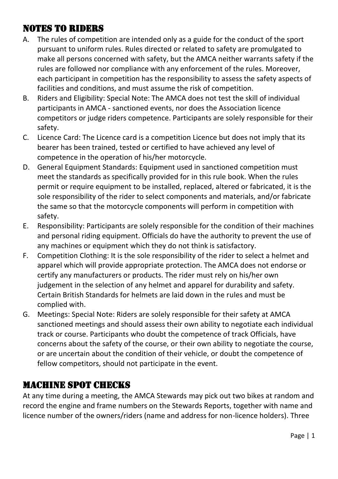#### NOTES TO RIDERS

- A. The rules of competition are intended only as a guide for the conduct of the sport pursuant to uniform rules. Rules directed or related to safety are promulgated to make all persons concerned with safety, but the AMCA neither warrants safety if the rules are followed nor compliance with any enforcement of the rules. Moreover, each participant in competition has the responsibility to assess the safety aspects of facilities and conditions, and must assume the risk of competition.
- B. Riders and Eligibility: Special Note: The AMCA does not test the skill of individual participants in AMCA - sanctioned events, nor does the Association licence competitors or judge riders competence. Participants are solely responsible for their safety.
- C. Licence Card: The Licence card is a competition Licence but does not imply that its bearer has been trained, tested or certified to have achieved any level of competence in the operation of his/her motorcycle.
- D. General Equipment Standards: Equipment used in sanctioned competition must meet the standards as specifically provided for in this rule book. When the rules permit or require equipment to be installed, replaced, altered or fabricated, it is the sole responsibility of the rider to select components and materials, and/or fabricate the same so that the motorcycle components will perform in competition with safety.
- E. Responsibility: Participants are solely responsible for the condition of their machines and personal riding equipment. Officials do have the authority to prevent the use of any machines or equipment which they do not think is satisfactory.
- F. Competition Clothing: It is the sole responsibility of the rider to select a helmet and apparel which will provide appropriate protection. The AMCA does not endorse or certify any manufacturers or products. The rider must rely on his/her own judgement in the selection of any helmet and apparel for durability and safety. Certain British Standards for helmets are laid down in the rules and must be complied with.
- G. Meetings: Special Note: Riders are solely responsible for their safety at AMCA sanctioned meetings and should assess their own ability to negotiate each individual track or course. Participants who doubt the competence of track Officials, have concerns about the safety of the course, or their own ability to negotiate the course, or are uncertain about the condition of their vehicle, or doubt the competence of fellow competitors, should not participate in the event.

#### MACHINE SPOT CHECKS

At any time during a meeting, the AMCA Stewards may pick out two bikes at random and record the engine and frame numbers on the Stewards Reports, together with name and licence number of the owners/riders (name and address for non-licence holders). Three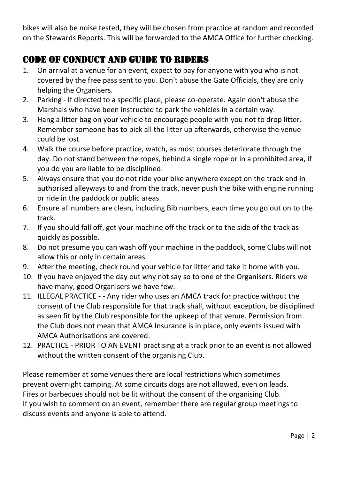bikes will also be noise tested, they will be chosen from practice at random and recorded on the Stewards Reports. This will be forwarded to the AMCA Office for further checking.

#### CODE OF CONDUCT AND GUIDE TO RIDERS

- 1. On arrival at a venue for an event, expect to pay for anyone with you who is not covered by the free pass sent to you. Don't abuse the Gate Officials, they are only helping the Organisers.
- 2. Parking If directed to a specific place, please co-operate. Again don't abuse the Marshals who have been instructed to park the vehicles in a certain way.
- 3. Hang a litter bag on your vehicle to encourage people with you not to drop litter. Remember someone has to pick all the litter up afterwards, otherwise the venue could be lost.
- 4. Walk the course before practice, watch, as most courses deteriorate through the day. Do not stand between the ropes, behind a single rope or in a prohibited area, if you do you are liable to be disciplined.
- 5. Always ensure that you do not ride your bike anywhere except on the track and in authorised alleyways to and from the track, never push the bike with engine running or ride in the paddock or public areas.
- 6. Ensure all numbers are clean, including Bib numbers, each time you go out on to the track.
- 7. If you should fall off, get your machine off the track or to the side of the track as quickly as possible.
- 8. Do not presume you can wash off your machine in the paddock, some Clubs will not allow this or only in certain areas.
- 9. After the meeting, check round your vehicle for litter and take it home with you.
- 10. If you have enjoyed the day out why not say so to one of the Organisers. Riders we have many, good Organisers we have few.
- 11. ILLEGAL PRACTICE - Any rider who uses an AMCA track for practice without the consent of the Club responsible for that track shall, without exception, be disciplined as seen fit by the Club responsible for the upkeep of that venue. Permission from the Club does not mean that AMCA Insurance is in place, only events issued with AMCA Authorisations are covered.
- 12. PRACTICE PRIOR TO AN EVENT practising at a track prior to an event is not allowed without the written consent of the organising Club.

Please remember at some venues there are local restrictions which sometimes prevent overnight camping. At some circuits dogs are not allowed, even on leads. Fires or barbecues should not be lit without the consent of the organising Club. If you wish to comment on an event, remember there are regular group meetings to discuss events and anyone is able to attend.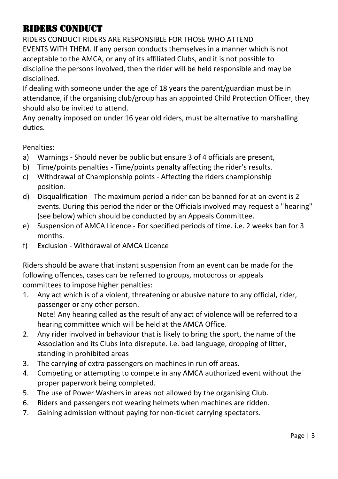#### RIDERS CONDUCT

RIDERS CONDUCT RIDERS ARE RESPONSIBLE FOR THOSE WHO ATTEND EVENTS WITH THEM. If any person conducts themselves in a manner which is not acceptable to the AMCA, or any of its affiliated Clubs, and it is not possible to discipline the persons involved, then the rider will be held responsible and may be disciplined.

If dealing with someone under the age of 18 years the parent/guardian must be in attendance, if the organising club/group has an appointed Child Protection Officer, they should also be invited to attend.

Any penalty imposed on under 16 year old riders, must be alternative to marshalling duties.

Penalties:

- a) Warnings Should never be public but ensure 3 of 4 officials are present,
- b) Time/points penalties Time/points penalty affecting the rider's results.
- c) Withdrawal of Championship points Affecting the riders championship position.
- d) Disqualification The maximum period a rider can be banned for at an event is 2 events. During this period the rider or the Officials involved may request a "hearing" (see below) which should be conducted by an Appeals Committee.
- e) Suspension of AMCA Licence For specified periods of time. i.e. 2 weeks ban for 3 months.
- f) Exclusion Withdrawal of AMCA Licence

Riders should be aware that instant suspension from an event can be made for the following offences, cases can be referred to groups, motocross or appeals committees to impose higher penalties:

- 1. Any act which is of a violent, threatening or abusive nature to any official, rider, passenger or any other person. Note! Any hearing called as the result of any act of violence will be referred to a hearing committee which will be held at the AMCA Office.
- 2. Any rider involved in behaviour that is likely to bring the sport, the name of the Association and its Clubs into disrepute. i.e. bad language, dropping of litter, standing in prohibited areas
- 3. The carrying of extra passengers on machines in run off areas.
- 4. Competing or attempting to compete in any AMCA authorized event without the proper paperwork being completed.
- 5. The use of Power Washers in areas not allowed by the organising Club.
- 6. Riders and passengers not wearing helmets when machines are ridden.
- 7. Gaining admission without paying for non-ticket carrying spectators.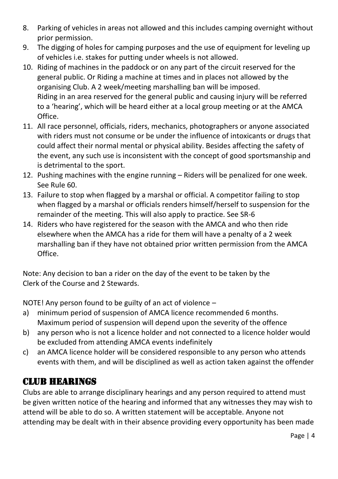- 8. Parking of vehicles in areas not allowed and this includes camping overnight without prior permission.
- 9. The digging of holes for camping purposes and the use of equipment for leveling up of vehicles i.e. stakes for putting under wheels is not allowed.
- 10. Riding of machines in the paddock or on any part of the circuit reserved for the general public. Or Riding a machine at times and in places not allowed by the organising Club. A 2 week/meeting marshalling ban will be imposed. Riding in an area reserved for the general public and causing injury will be referred to a 'hearing', which will be heard either at a local group meeting or at the AMCA Office.
- 11. All race personnel, officials, riders, mechanics, photographers or anyone associated with riders must not consume or be under the influence of intoxicants or drugs that could affect their normal mental or physical ability. Besides affecting the safety of the event, any such use is inconsistent with the concept of good sportsmanship and is detrimental to the sport.
- 12. Pushing machines with the engine running Riders will be penalized for one week. See Rule 60.
- 13. Failure to stop when flagged by a marshal or official. A competitor failing to stop when flagged by a marshal or officials renders himself/herself to suspension for the remainder of the meeting. This will also apply to practice. See SR-6
- 14. Riders who have registered for the season with the AMCA and who then ride elsewhere when the AMCA has a ride for them will have a penalty of a 2 week marshalling ban if they have not obtained prior written permission from the AMCA Office.

Note: Any decision to ban a rider on the day of the event to be taken by the Clerk of the Course and 2 Stewards.

NOTE! Any person found to be guilty of an act of violence –

- a) minimum period of suspension of AMCA licence recommended 6 months. Maximum period of suspension will depend upon the severity of the offence
- b) any person who is not a licence holder and not connected to a licence holder would be excluded from attending AMCA events indefinitely
- c) an AMCA licence holder will be considered responsible to any person who attends events with them, and will be disciplined as well as action taken against the offender

#### CLUB HEARINGS

Clubs are able to arrange disciplinary hearings and any person required to attend must be given written notice of the hearing and informed that any witnesses they may wish to attend will be able to do so. A written statement will be acceptable. Anyone not attending may be dealt with in their absence providing every opportunity has been made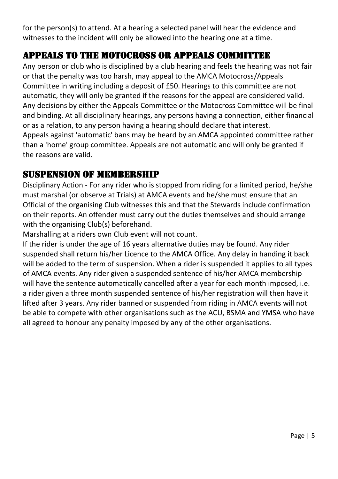for the person(s) to attend. At a hearing a selected panel will hear the evidence and witnesses to the incident will only be allowed into the hearing one at a time.

#### APPEALS TO THE MOTOCROSS OR APPEALS COMMITTEE

Any person or club who is disciplined by a club hearing and feels the hearing was not fair or that the penalty was too harsh, may appeal to the AMCA Motocross/Appeals Committee in writing including a deposit of £50. Hearings to this committee are not automatic, they will only be granted if the reasons for the appeal are considered valid. Any decisions by either the Appeals Committee or the Motocross Committee will be final and binding. At all disciplinary hearings, any persons having a connection, either financial or as a relation, to any person having a hearing should declare that interest. Appeals against 'automatic' bans may be heard by an AMCA appointed committee rather than a 'home' group committee. Appeals are not automatic and will only be granted if the reasons are valid.

#### SUSPENSION OF MEMBERSHIP

Disciplinary Action - For any rider who is stopped from riding for a limited period, he/she must marshal (or observe at Trials) at AMCA events and he/she must ensure that an Official of the organising Club witnesses this and that the Stewards include confirmation on their reports. An offender must carry out the duties themselves and should arrange with the organising Club(s) beforehand.

Marshalling at a riders own Club event will not count.

If the rider is under the age of 16 years alternative duties may be found. Any rider suspended shall return his/her Licence to the AMCA Office. Any delay in handing it back will be added to the term of suspension. When a rider is suspended it applies to all types of AMCA events. Any rider given a suspended sentence of his/her AMCA membership will have the sentence automatically cancelled after a year for each month imposed, i.e. a rider given a three month suspended sentence of his/her registration will then have it lifted after 3 years. Any rider banned or suspended from riding in AMCA events will not be able to compete with other organisations such as the ACU, BSMA and YMSA who have all agreed to honour any penalty imposed by any of the other organisations.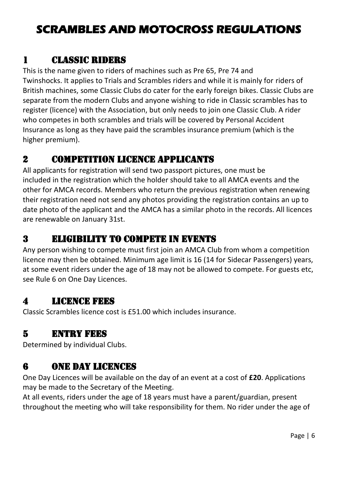# **SCRAMBLES AND MOTOCROSS REGULATIONS**

#### 1 Classic Riders

This is the name given to riders of machines such as Pre 65, Pre 74 and Twinshocks. It applies to Trials and Scrambles riders and while it is mainly for riders of British machines, some Classic Clubs do cater for the early foreign bikes. Classic Clubs are separate from the modern Clubs and anyone wishing to ride in Classic scrambles has to register (licence) with the Association, but only needs to join one Classic Club. A rider who competes in both scrambles and trials will be covered by Personal Accident Insurance as long as they have paid the scrambles insurance premium (which is the higher premium).

#### 2 Competition Licence Applicants

All applicants for registration will send two passport pictures, one must be included in the registration which the holder should take to all AMCA events and the other for AMCA records. Members who return the previous registration when renewing their registration need not send any photos providing the registration contains an up to date photo of the applicant and the AMCA has a similar photo in the records. All licences are renewable on January 31st.

#### 3 Eligibility to Compete in Events

Any person wishing to compete must first join an AMCA Club from whom a competition licence may then be obtained. Minimum age limit is 16 (14 for Sidecar Passengers) years, at some event riders under the age of 18 may not be allowed to compete. For guests etc, see Rule 6 on One Day Licences.

#### 4 Licence Fees

Classic Scrambles licence cost is £51.00 which includes insurance.

# 5 Entry Fees

Determined by individual Clubs.

# 6 One Day Licences

One Day Licences will be available on the day of an event at a cost of **£20**. Applications may be made to the Secretary of the Meeting.

At all events, riders under the age of 18 years must have a parent/guardian, present throughout the meeting who will take responsibility for them. No rider under the age of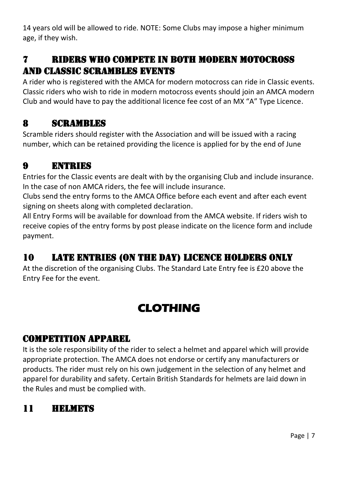14 years old will be allowed to ride. NOTE: Some Clubs may impose a higher minimum age, if they wish.

#### 7 Riders who compete in Both Modern Motocross and Classic Scrambles Events

A rider who is registered with the AMCA for modern motocross can ride in Classic events. Classic riders who wish to ride in modern motocross events should join an AMCA modern Club and would have to pay the additional licence fee cost of an MX "A" Type Licence.

#### 8 Scrambles

Scramble riders should register with the Association and will be issued with a racing number, which can be retained providing the licence is applied for by the end of June

#### 9 Entries

Entries for the Classic events are dealt with by the organising Club and include insurance. In the case of non AMCA riders, the fee will include insurance.

Clubs send the entry forms to the AMCA Office before each event and after each event signing on sheets along with completed declaration.

All Entry Forms will be available for download from the AMCA website. If riders wish to receive copies of the entry forms by post please indicate on the licence form and include payment. Ĩ

# 10 Late Entries (On the Day) Licence Holders Only

At the discretion of the organising Clubs. The Standard Late Entry fee is £20 above the Entry Fee for the event.

# **CLOTHING**

#### COMPETITION APPAREL

It is the sole responsibility of the rider to select a helmet and apparel which will provide appropriate protection. The AMCA does not endorse or certify any manufacturers or products. The rider must rely on his own judgement in the selection of any helmet and apparel for durability and safety. Certain British Standards for helmets are laid down in the Rules and must be complied with.

# 11 Helmets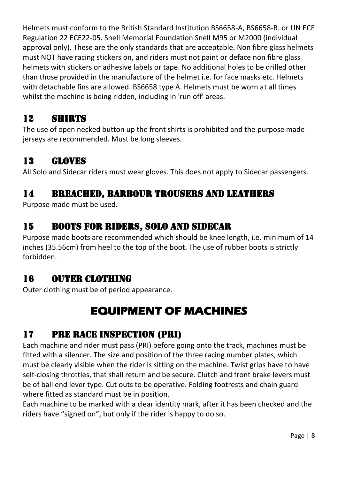Helmets must conform to the British Standard Institution BS6658-A, BS6658-B. or UN ECE Regulation 22 ECE22-05. Snell Memorial Foundation Snell M95 or M2000 (individual approval only). These are the only standards that are acceptable. Non fibre glass helmets must NOT have racing stickers on, and riders must not paint or deface non fibre glass helmets with stickers or adhesive labels or tape. No additional holes to be drilled other than those provided in the manufacture of the helmet i.e. for face masks etc. Helmets with detachable fins are allowed. BS6658 type A. Helmets must be worn at all times whilst the machine is being ridden, including in 'run off' areas.

#### 12 Shirts

The use of open necked button up the front shirts is prohibited and the purpose made jerseys are recommended. Must be long sleeves.

# 13 Gloves

All Solo and Sidecar riders must wear gloves. This does not apply to Sidecar passengers.

#### 14 Breached, Barbour Trousers and Leathers

Purpose made must be used.

# 15 Boots for Riders, Solo and Sidecar

Purpose made boots are recommended which should be knee length, i.e. minimum of 14 inches (35.56cm) from heel to the top of the boot. The use of rubber boots is strictly forbidden.

# 16 OUTER CLOTHING

Outer clothing must be of period appearance.

# **EQUIPMENT OF MACHINES**

# 17 Pre Race Inspection (PRI)

Each machine and rider must pass (PRI) before going onto the track, machines must be fitted with a silencer. The size and position of the three racing number plates, which must be clearly visible when the rider is sitting on the machine. Twist grips have to have self-closing throttles, that shall return and be secure. Clutch and front brake levers must be of ball end lever type. Cut outs to be operative. Folding footrests and chain guard where fitted as standard must be in position.

Each machine to be marked with a clear identity mark, after it has been checked and the riders have "signed on", but only if the rider is happy to do so.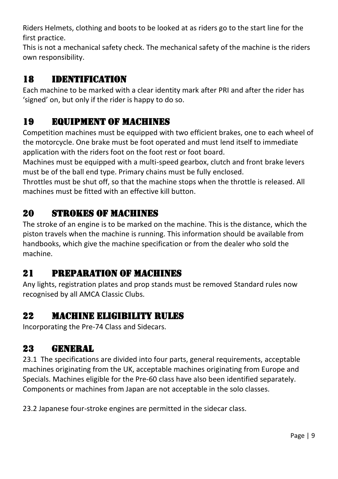Riders Helmets, clothing and boots to be looked at as riders go to the start line for the first practice.

This is not a mechanical safety check. The mechanical safety of the machine is the riders own responsibility.

#### 18 Identification

Each machine to be marked with a clear identity mark after PRI and after the rider has 'signed' on, but only if the rider is happy to do so.

#### 19 Equipment of Machines

Competition machines must be equipped with two efficient brakes, one to each wheel of the motorcycle. One brake must be foot operated and must lend itself to immediate application with the riders foot on the foot rest or foot board.

Machines must be equipped with a multi-speed gearbox, clutch and front brake levers must be of the ball end type. Primary chains must be fully enclosed.

Throttles must be shut off, so that the machine stops when the throttle is released. All machines must be fitted with an effective kill button.

# 20 Strokes of Machines

The stroke of an engine is to be marked on the machine. This is the distance, which the piston travels when the machine is running. This information should be available from handbooks, which give the machine specification or from the dealer who sold the machine.

# 21 Preparation of Machines

Any lights, registration plates and prop stands must be removed Standard rules now recognised by all AMCA Classic Clubs.

#### 22 Machine Eligibility Rules

Incorporating the Pre-74 Class and Sidecars.

# 23 General

23.1 The specifications are divided into four parts, general requirements, acceptable machines originating from the UK, acceptable machines originating from Europe and Specials. Machines eligible for the Pre-60 class have also been identified separately. Components or machines from Japan are not acceptable in the solo classes.

23.2 Japanese four-stroke engines are permitted in the sidecar class.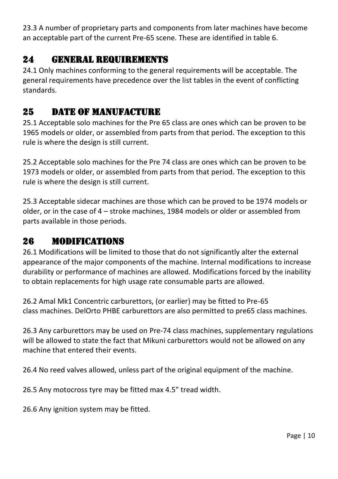23.3 A number of proprietary parts and components from later machines have become an acceptable part of the current Pre-65 scene. These are identified in table 6.

#### 24 General requirements

24.1 Only machines conforming to the general requirements will be acceptable. The general requirements have precedence over the list tables in the event of conflicting standards.

#### 25 DATE OF MANIFACTURE

25.1 Acceptable solo machines for the Pre 65 class are ones which can be proven to be 1965 models or older, or assembled from parts from that period. The exception to this rule is where the design is still current.

25.2 Acceptable solo machines for the Pre 74 class are ones which can be proven to be 1973 models or older, or assembled from parts from that period. The exception to this rule is where the design is still current.

25.3 Acceptable sidecar machines are those which can be proved to be 1974 models or older, or in the case of 4 – stroke machines, 1984 models or older or assembled from parts available in those periods.

#### 26 Modifications

26.1 Modifications will be limited to those that do not significantly alter the external appearance of the major components of the machine. Internal modifications to increase durability or performance of machines are allowed. Modifications forced by the inability to obtain replacements for high usage rate consumable parts are allowed.

26.2 Amal Mk1 Concentric carburettors, (or earlier) may be fitted to Pre-65 class machines. DelOrto PHBE carburettors are also permitted to pre65 class machines.

26.3 Any carburettors may be used on Pre-74 class machines, supplementary regulations will be allowed to state the fact that Mikuni carburettors would not be allowed on any machine that entered their events.

26.4 No reed valves allowed, unless part of the original equipment of the machine.

26.5 Any motocross tyre may be fitted max 4.5" tread width.

26.6 Any ignition system may be fitted.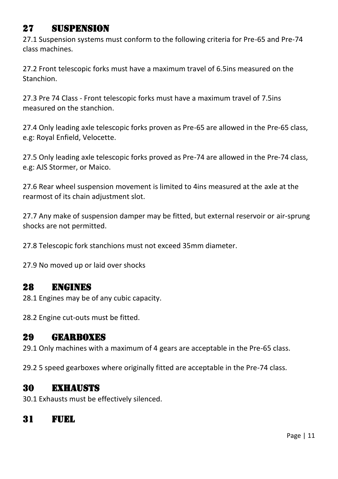#### 27 Suspension

27.1 Suspension systems must conform to the following criteria for Pre-65 and Pre-74 class machines.

27.2 Front telescopic forks must have a maximum travel of 6.5ins measured on the Stanchion.

27.3 Pre 74 Class - Front telescopic forks must have a maximum travel of 7.5ins measured on the stanchion.

27.4 Only leading axle telescopic forks proven as Pre-65 are allowed in the Pre-65 class, e.g: Royal Enfield, Velocette.

27.5 Only leading axle telescopic forks proved as Pre-74 are allowed in the Pre-74 class, e.g: AJS Stormer, or Maico.

27.6 Rear wheel suspension movement is limited to 4ins measured at the axle at the rearmost of its chain adjustment slot.

27.7 Any make of suspension damper may be fitted, but external reservoir or air-sprung shocks are not permitted.

27.8 Telescopic fork stanchions must not exceed 35mm diameter.

27.9 No moved up or laid over shocks

#### 28 Engines

28.1 Engines may be of any cubic capacity.

28.2 Engine cut-outs must be fitted.

#### 29 Gearboxes

29.1 Only machines with a maximum of 4 gears are acceptable in the Pre-65 class.

29.2 5 speed gearboxes where originally fitted are acceptable in the Pre-74 class.

#### 30 Exhausts

30.1 Exhausts must be effectively silenced.

#### 31 Fuel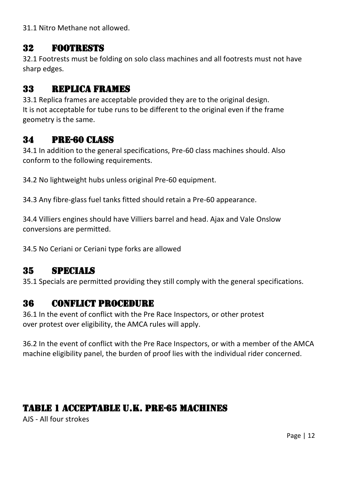31.1 Nitro Methane not allowed.

#### 32 Footrests

32.1 Footrests must be folding on solo class machines and all footrests must not have sharp edges.

#### 33 Replica Frames

33.1 Replica frames are acceptable provided they are to the original design. It is not acceptable for tube runs to be different to the original even if the frame geometry is the same.

#### 34 Pre-60 Class

34.1 In addition to the general specifications, Pre-60 class machines should. Also conform to the following requirements.

34.2 No lightweight hubs unless original Pre-60 equipment.

34.3 Any fibre-glass fuel tanks fitted should retain a Pre-60 appearance.

34.4 Villiers engines should have Villiers barrel and head. Ajax and Vale Onslow conversions are permitted.

34.5 No Ceriani or Ceriani type forks are allowed

# 35 Specials

35.1 Specials are permitted providing they still comply with the general specifications.

#### 36 Conflict Procedure

36.1 In the event of conflict with the Pre Race Inspectors, or other protest over protest over eligibility, the AMCA rules will apply.

36.2 In the event of conflict with the Pre Race Inspectors, or with a member of the AMCA machine eligibility panel, the burden of proof lies with the individual rider concerned.

#### Table 1 Acceptable U.K. Pre-65 Machines

AJS - All four strokes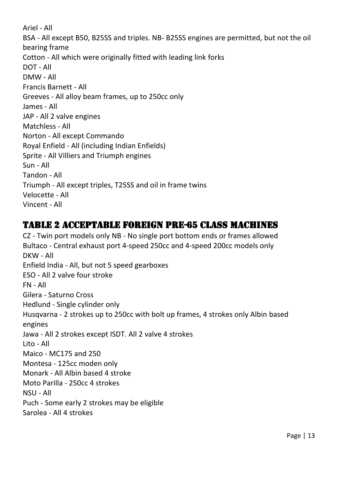Ariel - All BSA - All except B50, B25SS and triples. NB- B25SS engines are permitted, but not the oil bearing frame Cotton - All which were originally fitted with leading link forks DOT - All DMW - All Francis Barnett - All Greeves - All alloy beam frames, up to 250cc only James - All JAP - All 2 valve engines Matchless - All Norton - All except Commando Royal Enfield - All (including Indian Enfields) Sprite - All Villiers and Triumph engines Sun - All Tandon - All Triumph - All except triples, T25SS and oil in frame twins Velocette - All Vincent - All

#### Table 2 Acceptable Foreign Pre-65 Class Machines

CZ - Twin port models only NB - No single port bottom ends or frames allowed Bultaco - Central exhaust port 4-speed 250cc and 4-speed 200cc models only DKW - All Enfield India - All, but not 5 speed gearboxes ESO - All 2 valve four stroke FN - All Gilera - Saturno Cross Hedlund - Single cylinder only Husqvarna - 2 strokes up to 250cc with bolt up frames, 4 strokes only Albin based engines Jawa - All 2 strokes except ISDT. All 2 valve 4 strokes Lito - All Maico - MC175 and 250 Montesa - 125cc moden only Monark - All Albin based 4 stroke Moto Parilla - 250cc 4 strokes NSU - All Puch - Some early 2 strokes may be eligible Sarolea - All 4 strokes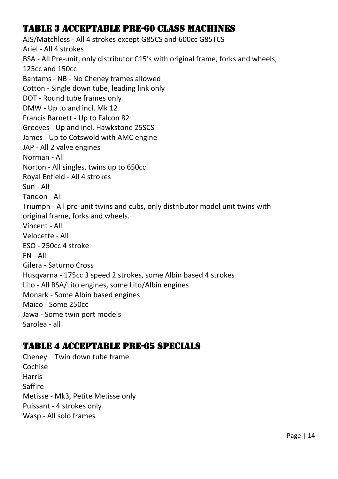#### Table 3 Acceptable Pre-60 Class Machines

AJS/Matchless - All 4 strokes except G85CS and 600cc G85TCS Ariel - All 4 strokes BSA - All Pre-unit, only distributor C15's with original frame, forks and wheels, 125cc and 150cc Bantams - NB - No Cheney frames allowed Cotton - Single down tube, leading link only DOT - Round tube frames only DMW - Up to and incl. Mk 12 Francis Barnett - Up to Falcon 82 Greeves - Up and incl. Hawkstone 25SCS James - Up to Cotswold with AMC engine JAP - All 2 valve engines Norman - All Norton - All singles, twins up to 650cc Royal Enfield - All 4 strokes Sun - All Tandon - All Triumph - All pre-unit twins and cubs, only distributor model unit twins with original frame, forks and wheels. Vincent - All Velocette - All ESO - 250cc 4 stroke FN - All Gilera - Saturno Cross Husqvarna - 175cc 3 speed 2 strokes, some Albin based 4 strokes Lito - All BSA/Lito engines, some Lito/Albin engines Monark - Some Albin based engines Maico - Some 250cc Jawa - Some twin port models Sarolea - all

#### Table 4 Acceptable Pre-65 Specials

Cheney – Twin down tube frame Cochise Harris Saffire Metisse - Mk3, Petite Metisse only Puissant - 4 strokes only Wasp - All solo frames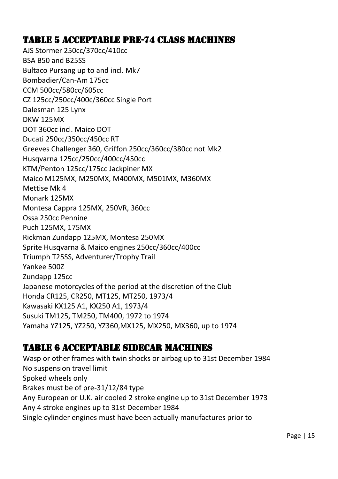#### Table 5 Acceptable Pre-74 Class Machines

AJS Stormer 250cc/370cc/410cc BSA B50 and B25SS Bultaco Pursang up to and incl. Mk7 Bombadier/Can-Am 175cc CCM 500cc/580cc/605cc CZ 125cc/250cc/400c/360cc Single Port Dalesman 125 Lynx DKW 125MX DOT 360cc incl. Maico DOT Ducati 250cc/350cc/450cc RT Greeves Challenger 360, Griffon 250cc/360cc/380cc not Mk2 Husqvarna 125cc/250cc/400cc/450cc KTM/Penton 125cc/175cc Jackpiner MX Maico M125MX, M250MX, M400MX, M501MX, M360MX Mettise Mk 4 Monark 125MX Montesa Cappra 125MX, 250VR, 360cc Ossa 250cc Pennine Puch 125MX, 175MX Rickman Zundapp 125MX, Montesa 250MX Sprite Husqvarna & Maico engines 250cc/360cc/400cc Triumph T25SS, Adventurer/Trophy Trail Yankee 500Z Zundapp 125cc Japanese motorcycles of the period at the discretion of the Club Honda CR125, CR250, MT125, MT250, 1973/4 Kawasaki KX125 A1, KX250 A1, 1973/4 Susuki TM125, TM250, TM400, 1972 to 1974 Yamaha YZ125, YZ250, YZ360,MX125, MX250, MX360, up to 1974

#### Table 6 Acceptable Sidecar Machines

Wasp or other frames with twin shocks or airbag up to 31st December 1984 No suspension travel limit Spoked wheels only Brakes must be of pre-31/12/84 type Any European or U.K. air cooled 2 stroke engine up to 31st December 1973 Any 4 stroke engines up to 31st December 1984 Single cylinder engines must have been actually manufactures prior to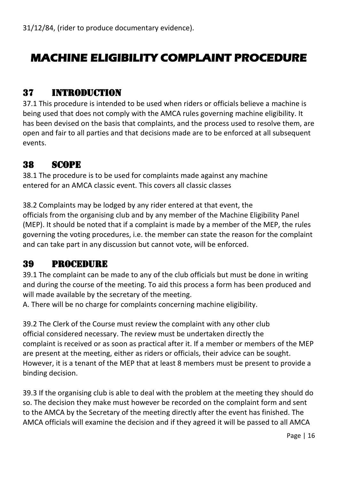# **MACHINE ELIGIBILITY COMPLAINT PROCEDURE**

#### 37 Introduction

37.1 This procedure is intended to be used when riders or officials believe a machine is being used that does not comply with the AMCA rules governing machine eligibility. It has been devised on the basis that complaints, and the process used to resolve them, are open and fair to all parties and that decisions made are to be enforced at all subsequent events.

#### 38 Scope

38.1 The procedure is to be used for complaints made against any machine entered for an AMCA classic event. This covers all classic classes

38.2 Complaints may be lodged by any rider entered at that event, the officials from the organising club and by any member of the Machine Eligibility Panel (MEP). It should be noted that if a complaint is made by a member of the MEP, the rules governing the voting procedures, i.e. the member can state the reason for the complaint and can take part in any discussion but cannot vote, will be enforced.

#### 39 Procedure

39.1 The complaint can be made to any of the club officials but must be done in writing and during the course of the meeting. To aid this process a form has been produced and will made available by the secretary of the meeting.

A. There will be no charge for complaints concerning machine eligibility.

39.2 The Clerk of the Course must review the complaint with any other club official considered necessary. The review must be undertaken directly the complaint is received or as soon as practical after it. If a member or members of the MEP are present at the meeting, either as riders or officials, their advice can be sought. However, it is a tenant of the MEP that at least 8 members must be present to provide a binding decision.

39.3 If the organising club is able to deal with the problem at the meeting they should do so. The decision they make must however be recorded on the complaint form and sent to the AMCA by the Secretary of the meeting directly after the event has finished. The AMCA officials will examine the decision and if they agreed it will be passed to all AMCA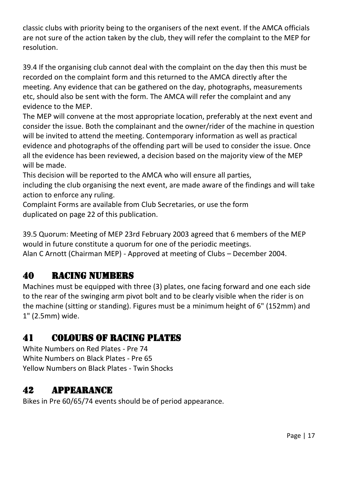classic clubs with priority being to the organisers of the next event. If the AMCA officials are not sure of the action taken by the club, they will refer the complaint to the MEP for resolution.

39.4 If the organising club cannot deal with the complaint on the day then this must be recorded on the complaint form and this returned to the AMCA directly after the meeting. Any evidence that can be gathered on the day, photographs, measurements etc, should also be sent with the form. The AMCA will refer the complaint and any evidence to the MEP.

The MEP will convene at the most appropriate location, preferably at the next event and consider the issue. Both the complainant and the owner/rider of the machine in question will be invited to attend the meeting. Contemporary information as well as practical evidence and photographs of the offending part will be used to consider the issue. Once all the evidence has been reviewed, a decision based on the majority view of the MEP will be made.

This decision will be reported to the AMCA who will ensure all parties, including the club organising the next event, are made aware of the findings and will take action to enforce any ruling.

Complaint Forms are available from Club Secretaries, or use the form duplicated on page 22 of this publication.

39.5 Quorum: Meeting of MEP 23rd February 2003 agreed that 6 members of the MEP would in future constitute a quorum for one of the periodic meetings. Alan C Arnott (Chairman MEP) - Approved at meeting of Clubs – December 2004.

# 40 Racing Numbers

Machines must be equipped with three (3) plates, one facing forward and one each side to the rear of the swinging arm pivot bolt and to be clearly visible when the rider is on the machine (sitting or standing). Figures must be a minimum height of 6" (152mm) and 1" (2.5mm) wide.

# 41 Colours of Racing Plates

White Numbers on Red Plates - Pre 74 White Numbers on Black Plates - Pre 65 Yellow Numbers on Black Plates - Twin Shocks

# 42 Appearance

Bikes in Pre 60/65/74 events should be of period appearance.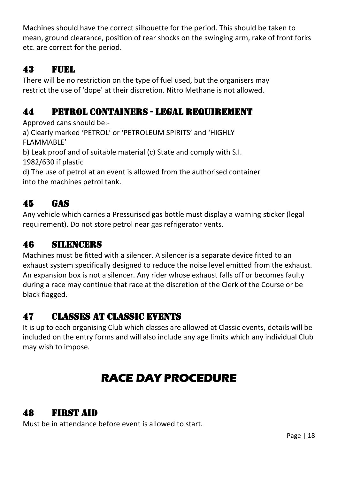Machines should have the correct silhouette for the period. This should be taken to mean, ground clearance, position of rear shocks on the swinging arm, rake of front forks etc. are correct for the period.

#### **43 FUEL**

There will be no restriction on the type of fuel used, but the organisers may restrict the use of 'dope' at their discretion. Nitro Methane is not allowed.

# 44 Petrol Containers - Legal Requirement

Approved cans should be:-

a) Clearly marked 'PETROL' or 'PETROLEUM SPIRITS' and 'HIGHLY FLAMMABLE'

b) Leak proof and of suitable material (c) State and comply with S.I. 1982/630 if plastic

d) The use of petrol at an event is allowed from the authorised container into the machines petrol tank.

# 45 Gas

Any vehicle which carries a Pressurised gas bottle must display a warning sticker (legal requirement). Do not store petrol near gas refrigerator vents.

#### 46 Silencers

Machines must be fitted with a silencer. A silencer is a separate device fitted to an exhaust system specifically designed to reduce the noise level emitted from the exhaust. An expansion box is not a silencer. Any rider whose exhaust falls off or becomes faulty during a race may continue that race at the discretion of the Clerk of the Course or be black flagged.

# 47 Classes at Classic Events

It is up to each organising Club which classes are allowed at Classic events, details will be included on the entry forms and will also include any age limits which any individual Club may wish to impose.

# **RACE DAY PROCEDURE**

#### 48 FIRST AID

Must be in attendance before event is allowed to start.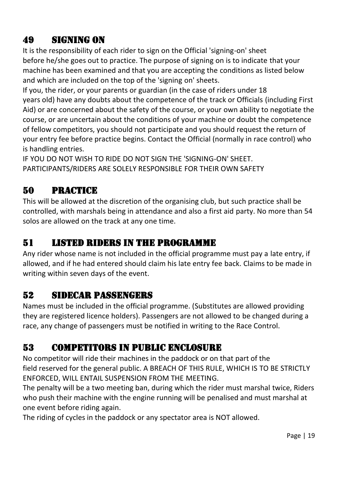# 49 Signing On

It is the responsibility of each rider to sign on the Official 'signing-on' sheet before he/she goes out to practice. The purpose of signing on is to indicate that your machine has been examined and that you are accepting the conditions as listed below and which are included on the top of the 'signing on' sheets.

If you, the rider, or your parents or guardian (in the case of riders under 18 years old) have any doubts about the competence of the track or Officials (including First Aid) or are concerned about the safety of the course, or your own ability to negotiate the course, or are uncertain about the conditions of your machine or doubt the competence of fellow competitors, you should not participate and you should request the return of your entry fee before practice begins. Contact the Official (normally in race control) who is handling entries.

IF YOU DO NOT WISH TO RIDE DO NOT SIGN THE 'SIGNING-ON' SHEET. PARTICIPANTS/RIDERS ARE SOLELY RESPONSIBLE FOR THEIR OWN SAFETY

# 50 Practice

This will be allowed at the discretion of the organising club, but such practice shall be controlled, with marshals being in attendance and also a first aid party. No more than 54 solos are allowed on the track at any one time.

# 51 Listed Riders in the Programme

Any rider whose name is not included in the official programme must pay a late entry, if allowed, and if he had entered should claim his late entry fee back. Claims to be made in writing within seven days of the event.

# 52 Sidecar Passengers

Names must be included in the official programme. (Substitutes are allowed providing they are registered licence holders). Passengers are not allowed to be changed during a race, any change of passengers must be notified in writing to the Race Control.

# 53 Competitors in Public Enclosure

No competitor will ride their machines in the paddock or on that part of the field reserved for the general public. A BREACH OF THIS RULE, WHICH IS TO BE STRICTLY ENFORCED, WILL ENTAIL SUSPENSION FROM THE MEETING.

The penalty will be a two meeting ban, during which the rider must marshal twice, Riders who push their machine with the engine running will be penalised and must marshal at one event before riding again.

The riding of cycles in the paddock or any spectator area is NOT allowed.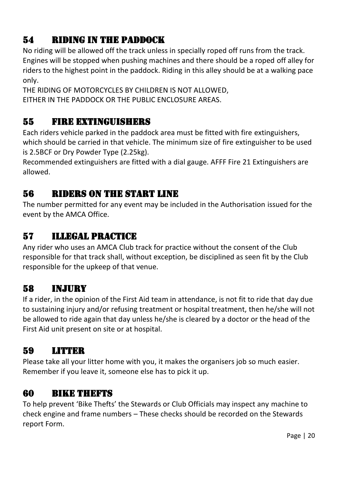# 54 Riding in the Paddock

No riding will be allowed off the track unless in specially roped off runs from the track. Engines will be stopped when pushing machines and there should be a roped off alley for riders to the highest point in the paddock. Riding in this alley should be at a walking pace only.

THE RIDING OF MOTORCYCLES BY CHILDREN IS NOT ALLOWED, EITHER IN THE PADDOCK OR THE PUBLIC ENCLOSURE AREAS.

#### 55 Fire Extinguishers

Each riders vehicle parked in the paddock area must be fitted with fire extinguishers, which should be carried in that vehicle. The minimum size of fire extinguisher to be used is 2.5BCF or Dry Powder Type (2.25kg).

Recommended extinguishers are fitted with a dial gauge. AFFF Fire 21 Extinguishers are allowed.

#### 56 Riders on the Start Line

The number permitted for any event may be included in the Authorisation issued for the event by the AMCA Office.

# 57 Illegal Practice

Any rider who uses an AMCA Club track for practice without the consent of the Club responsible for that track shall, without exception, be disciplined as seen fit by the Club responsible for the upkeep of that venue.

# 58 Injury

If a rider, in the opinion of the First Aid team in attendance, is not fit to ride that day due to sustaining injury and/or refusing treatment or hospital treatment, then he/she will not be allowed to ride again that day unless he/she is cleared by a doctor or the head of the First Aid unit present on site or at hospital.

# 59 LITTER

Please take all your litter home with you, it makes the organisers job so much easier. Remember if you leave it, someone else has to pick it up.

#### 60 BIKE THEFTS

To help prevent 'Bike Thefts' the Stewards or Club Officials may inspect any machine to check engine and frame numbers – These checks should be recorded on the Stewards report Form.